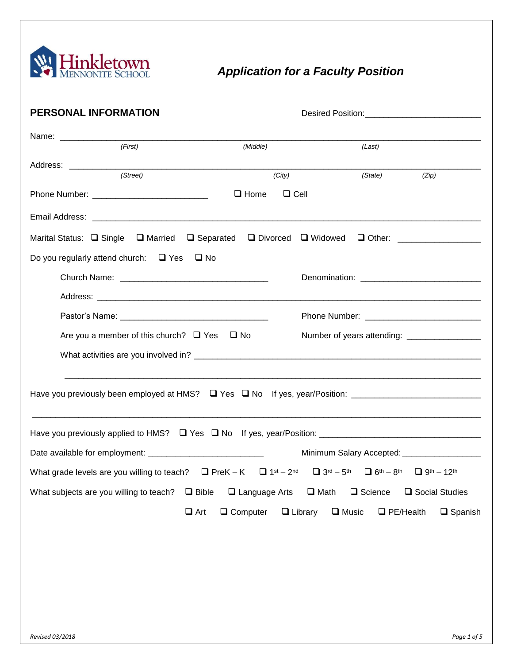

# *Application for a Faculty Position*

| <b>PERSONAL INFORMATION</b>                                                                                                                                                                                                                                                                        |                                      |                                |                  |                                               |  |  |  |
|----------------------------------------------------------------------------------------------------------------------------------------------------------------------------------------------------------------------------------------------------------------------------------------------------|--------------------------------------|--------------------------------|------------------|-----------------------------------------------|--|--|--|
| (First)                                                                                                                                                                                                                                                                                            | (Middle)                             |                                | (Last)           |                                               |  |  |  |
|                                                                                                                                                                                                                                                                                                    |                                      |                                |                  |                                               |  |  |  |
| (Street)                                                                                                                                                                                                                                                                                           | (City)<br>$\Box$ Home<br>$\Box$ Cell |                                | (State)          | (Zip)                                         |  |  |  |
|                                                                                                                                                                                                                                                                                                    |                                      |                                |                  |                                               |  |  |  |
| Marital Status: $\Box$ Single $\Box$ Married                                                                                                                                                                                                                                                       |                                      |                                |                  |                                               |  |  |  |
| Do you regularly attend church: $\Box$ Yes $\Box$ No                                                                                                                                                                                                                                               |                                      |                                |                  |                                               |  |  |  |
|                                                                                                                                                                                                                                                                                                    |                                      |                                |                  |                                               |  |  |  |
|                                                                                                                                                                                                                                                                                                    |                                      |                                |                  |                                               |  |  |  |
|                                                                                                                                                                                                                                                                                                    |                                      |                                |                  |                                               |  |  |  |
| Are you a member of this church? $\Box$ Yes $\Box$ No                                                                                                                                                                                                                                              |                                      |                                |                  | Number of years attending: __________________ |  |  |  |
|                                                                                                                                                                                                                                                                                                    |                                      |                                |                  |                                               |  |  |  |
|                                                                                                                                                                                                                                                                                                    |                                      |                                |                  |                                               |  |  |  |
|                                                                                                                                                                                                                                                                                                    |                                      |                                |                  |                                               |  |  |  |
| Date available for employment: _______________________________<br>What grade levels are you willing to teach? $\Box$ PreK - K $\Box$ 1 <sup>st</sup> - 2 <sup>nd</sup> $\Box$ 3 <sup>rd</sup> - 5 <sup>th</sup> $\Box$ 6 <sup>th</sup> - 8 <sup>th</sup> $\Box$ 9 <sup>th</sup> - 12 <sup>th</sup> |                                      |                                |                  | Minimum Salary Accepted: ___________________  |  |  |  |
| What subjects are you willing to teach? $\Box$ Bible                                                                                                                                                                                                                                               | $\Box$ Language Arts                 | $\Box$ Math                    | $\Box$ Science   | □ Social Studies                              |  |  |  |
| $\Box$ Art                                                                                                                                                                                                                                                                                         | $\Box$ Computer                      | $\Box$ Library<br>$\Box$ Music | $\Box$ PE/Health | $\Box$ Spanish                                |  |  |  |
|                                                                                                                                                                                                                                                                                                    |                                      |                                |                  |                                               |  |  |  |
|                                                                                                                                                                                                                                                                                                    |                                      |                                |                  |                                               |  |  |  |
|                                                                                                                                                                                                                                                                                                    |                                      |                                |                  |                                               |  |  |  |
|                                                                                                                                                                                                                                                                                                    |                                      |                                |                  |                                               |  |  |  |
|                                                                                                                                                                                                                                                                                                    |                                      |                                |                  |                                               |  |  |  |
|                                                                                                                                                                                                                                                                                                    |                                      |                                |                  |                                               |  |  |  |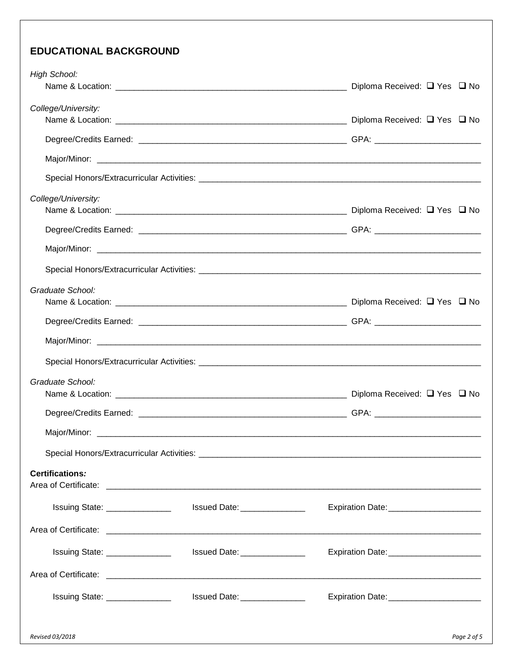## **EDUCATIONAL BACKGROUND**

| High School:                   |                               | Diploma Received: □ Yes □ No              |  |  |  |
|--------------------------------|-------------------------------|-------------------------------------------|--|--|--|
| College/University:            |                               |                                           |  |  |  |
|                                |                               |                                           |  |  |  |
|                                |                               |                                           |  |  |  |
|                                |                               |                                           |  |  |  |
| College/University:            |                               |                                           |  |  |  |
|                                |                               |                                           |  |  |  |
|                                |                               |                                           |  |  |  |
|                                |                               |                                           |  |  |  |
| Graduate School:               |                               |                                           |  |  |  |
|                                |                               |                                           |  |  |  |
|                                |                               |                                           |  |  |  |
|                                |                               |                                           |  |  |  |
| Graduate School:               |                               |                                           |  |  |  |
|                                |                               |                                           |  |  |  |
|                                |                               |                                           |  |  |  |
|                                |                               |                                           |  |  |  |
|                                |                               |                                           |  |  |  |
| <b>Certifications:</b>         |                               |                                           |  |  |  |
| Issuing State: _______________ | Issued Date: 1980             | Expiration Date: _______________________  |  |  |  |
|                                |                               |                                           |  |  |  |
| Issuing State: _______________ | Issued Date: ________________ | Expiration Date: _______________________  |  |  |  |
|                                |                               |                                           |  |  |  |
| Issuing State: _______________ | Issued Date: ________________ | Expiration Date: ________________________ |  |  |  |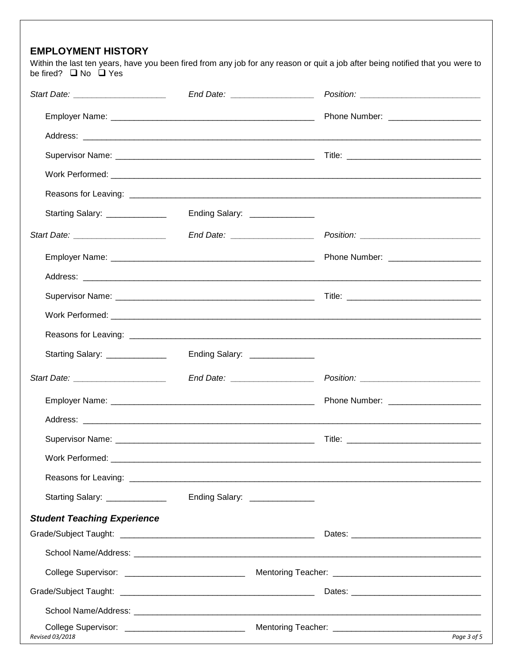#### **EMPLOYMENT HISTORY**

Within the last ten years, have you been fired from any job for any reason or quit a job after being notified that you were to be fired?  $\Box$  No  $\Box$  Yes

| Starting Salary: ______________    | Ending Salary: _______________ |  |  |
|------------------------------------|--------------------------------|--|--|
|                                    |                                |  |  |
|                                    |                                |  |  |
|                                    |                                |  |  |
|                                    |                                |  |  |
|                                    |                                |  |  |
|                                    |                                |  |  |
| Starting Salary: _____________     | Ending Salary: _______________ |  |  |
|                                    |                                |  |  |
|                                    |                                |  |  |
|                                    |                                |  |  |
|                                    |                                |  |  |
|                                    |                                |  |  |
|                                    |                                |  |  |
| Starting Salary: ______________    | Ending Salary: _______________ |  |  |
| <b>Student Teaching Experience</b> |                                |  |  |
|                                    |                                |  |  |
|                                    |                                |  |  |
|                                    |                                |  |  |
|                                    |                                |  |  |
|                                    |                                |  |  |
| Revised 03/2018                    | Page 3 of 5                    |  |  |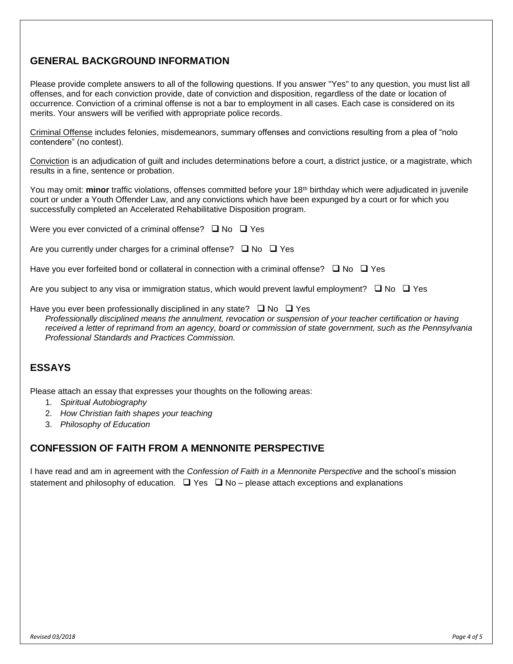### **GENERAL BACKGROUND INFORMATION**

Please provide complete answers to all of the following questions. If you answer "Yes" to any question, you must list all offenses, and for each conviction provide, date of conviction and disposition, regardless of the date or location of occurrence. Conviction of a criminal offense is not a bar to employment in all cases. Each case is considered on its merits. Your answers will be verified with appropriate police records.

Criminal Offense includes felonies, misdemeanors, summary offenses and convictions resulting from a plea of "nolo contendere" (no contest).

Conviction is an adjudication of guilt and includes determinations before a court, a district justice, or a magistrate, which results in a fine, sentence or probation.

You may omit: **minor** traffic violations, offenses committed before your 18<sup>th</sup> birthday which were adjudicated in juvenile court or under a Youth Offender Law, and any convictions which have been expunged by a court or for which you successfully completed an Accelerated Rehabilitative Disposition program.

Were you ever convicted of a criminal offense?  $\Box$  No  $\Box$  Yes

Are you currently under charges for a criminal offense?  $\Box$  No  $\Box$  Yes

Have you ever forfeited bond or collateral in connection with a criminal offense?  $\Box$  No  $\Box$  Yes

Are you subject to any visa or immigration status, which would prevent lawful employment?  $\Box$  No  $\Box$  Yes

Have you ever been professionally disciplined in any state?  $\Box$  No  $\Box$  Yes

*Professionally disciplined means the annulment, revocation or suspension of your teacher certification or having received a letter of reprimand from an agency, board or commission of state government, such as the Pennsylvania Professional Standards and Practices Commission.*

#### **ESSAYS**

Please attach an essay that expresses your thoughts on the following areas:

- 1. *Spiritual Autobiography*
- 2. *How Christian faith shapes your teaching*
- 3. *Philosophy of Education*

#### **CONFESSION OF FAITH FROM A MENNONITE PERSPECTIVE**

I have read and am in agreement with the *Confession of Faith in a Mennonite Perspective* and the school's mission statement and philosophy of education.  $\Box$  Yes  $\Box$  No – please attach exceptions and explanations